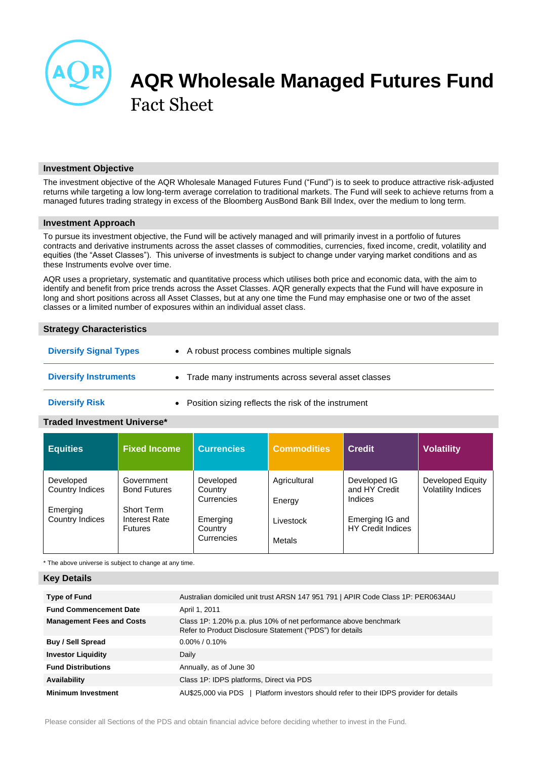

# **AQR Wholesale Managed Futures Fund** Fact Sheet

## **Investment Objective**

The investment objective of the AQR Wholesale Managed Futures Fund ("Fund") is to seek to produce attractive risk-adjusted returns while targeting a low long-term average correlation to traditional markets. The Fund will seek to achieve returns from a managed futures trading strategy in excess of the Bloomberg AusBond Bank Bill Index, over the medium to long term.

## **Investment Approach**

To pursue its investment objective, the Fund will be actively managed and will primarily invest in a portfolio of futures contracts and derivative instruments across the asset classes of commodities, currencies, fixed income, credit, volatility and equities (the "Asset Classes"). This universe of investments is subject to change under varying market conditions and as these Instruments evolve over time.

AQR uses a proprietary, systematic and quantitative process which utilises both price and economic data, with the aim to identify and benefit from price trends across the Asset Classes. AQR generally expects that the Fund will have exposure in long and short positions across all Asset Classes, but at any one time the Fund may emphasise one or two of the asset classes or a limited number of exposures within an individual asset class.

## **Strategy Characteristics**

| <b>Diversify Signal Types</b> |           | • A robust process combines multiple signals        |
|-------------------------------|-----------|-----------------------------------------------------|
| <b>Diversify Instruments</b>  | $\bullet$ | Trade many instruments across several asset classes |
| <b>Diversify Risk</b>         |           | Position sizing reflects the risk of the instrument |

# **Traded Investment Universe\***

| <b>Equities</b>                          | <b>Fixed Income</b>                                    | <b>Currencies</b>                  | <b>Commodities</b>     | <b>Credit</b>                               | <b>Volatility</b>                             |
|------------------------------------------|--------------------------------------------------------|------------------------------------|------------------------|---------------------------------------------|-----------------------------------------------|
| Developed<br>Country Indices<br>Emerging | Government<br><b>Bond Futures</b><br><b>Short Term</b> | Developed<br>Country<br>Currencies | Agricultural<br>Energy | Developed IG<br>and HY Credit<br>Indices    | Developed Equity<br><b>Volatility Indices</b> |
| Country Indices                          | Interest Rate<br><b>Futures</b>                        | Emerging<br>Country<br>Currencies  | Livestock<br>Metals    | Emerging IG and<br><b>HY Credit Indices</b> |                                               |

\* The above universe is subject to change at any time.

# **Key Details**

| <b>Type of Fund</b>              | Australian domiciled unit trust ARSN 147 951 791   APIR Code Class 1P: PER0634AU                                              |
|----------------------------------|-------------------------------------------------------------------------------------------------------------------------------|
| <b>Fund Commencement Date</b>    | April 1, 2011                                                                                                                 |
| <b>Management Fees and Costs</b> | Class 1P: 1.20% p.a. plus 10% of net performance above benchmark<br>Refer to Product Disclosure Statement ("PDS") for details |
| Buy / Sell Spread                | $0.00\%$ / 0.10%                                                                                                              |
| <b>Investor Liquidity</b>        | Daily                                                                                                                         |
| <b>Fund Distributions</b>        | Annually, as of June 30                                                                                                       |
| Availability                     | Class 1P: IDPS platforms, Direct via PDS                                                                                      |
| <b>Minimum Investment</b>        | AU\$25,000 via PDS   Platform investors should refer to their IDPS provider for details                                       |

Please consider all Sections of the PDS and obtain financial advice before deciding whether to invest in the Fund.